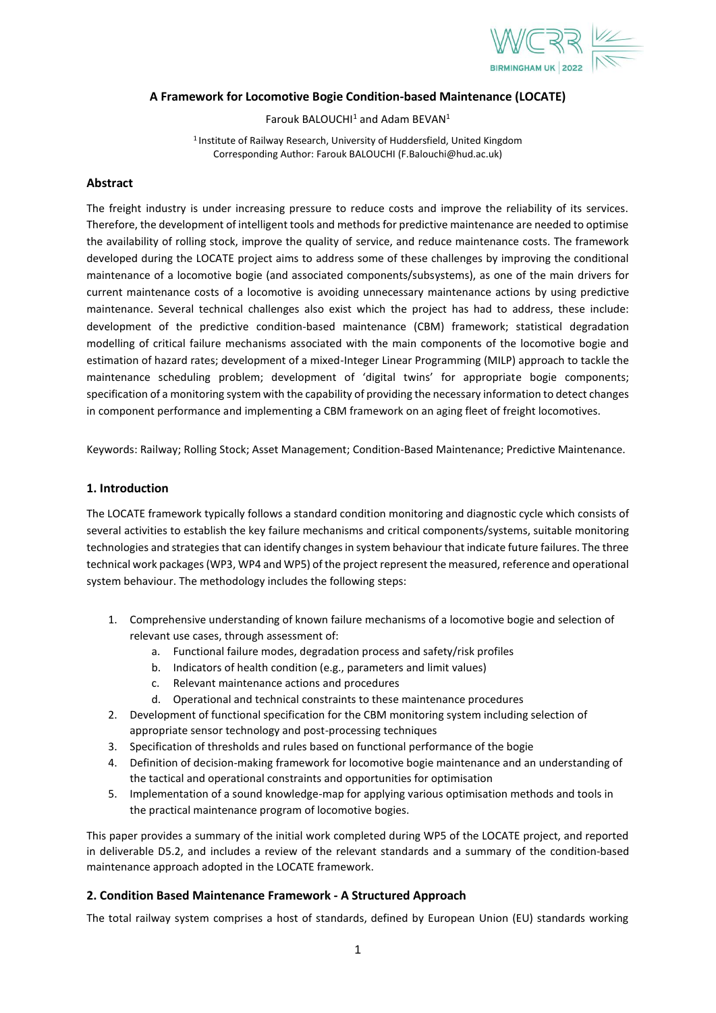

# **A Framework for Locomotive Bogie Condition-based Maintenance (LOCATE)**

Farouk BALOUCHI $1$  and Adam BEVAN $1$ 

<sup>1</sup> Institute of Railway Research, University of Huddersfield, United Kingdom Corresponding Author: Farouk BALOUCHI (F.Balouchi@hud.ac.uk)

### **Abstract**

The freight industry is under increasing pressure to reduce costs and improve the reliability of its services. Therefore, the development of intelligent tools and methods for predictive maintenance are needed to optimise the availability of rolling stock, improve the quality of service, and reduce maintenance costs. The framework developed during the LOCATE project aims to address some of these challenges by improving the conditional maintenance of a locomotive bogie (and associated components/subsystems), as one of the main drivers for current maintenance costs of a locomotive is avoiding unnecessary maintenance actions by using predictive maintenance. Several technical challenges also exist which the project has had to address, these include: development of the predictive condition-based maintenance (CBM) framework; statistical degradation modelling of critical failure mechanisms associated with the main components of the locomotive bogie and estimation of hazard rates; development of a mixed-Integer Linear Programming (MILP) approach to tackle the maintenance scheduling problem; development of 'digital twins' for appropriate bogie components; specification of a monitoring system with the capability of providing the necessary information to detect changes in component performance and implementing a CBM framework on an aging fleet of freight locomotives.

Keywords: Railway; Rolling Stock; Asset Management; Condition-Based Maintenance; Predictive Maintenance.

### **1. Introduction**

The LOCATE framework typically follows a standard condition monitoring and diagnostic cycle which consists of several activities to establish the key failure mechanisms and critical components/systems, suitable monitoring technologies and strategies that can identify changes in system behaviour that indicate future failures. The three technical work packages (WP3, WP4 and WP5) of the project represent the measured, reference and operational system behaviour. The methodology includes the following steps:

- 1. Comprehensive understanding of known failure mechanisms of a locomotive bogie and selection of relevant use cases, through assessment of:
	- a. Functional failure modes, degradation process and safety/risk profiles
	- b. Indicators of health condition (e.g., parameters and limit values)
	- c. Relevant maintenance actions and procedures
	- d. Operational and technical constraints to these maintenance procedures
- 2. Development of functional specification for the CBM monitoring system including selection of appropriate sensor technology and post-processing techniques
- 3. Specification of thresholds and rules based on functional performance of the bogie
- 4. Definition of decision-making framework for locomotive bogie maintenance and an understanding of the tactical and operational constraints and opportunities for optimisation
- 5. Implementation of a sound knowledge-map for applying various optimisation methods and tools in the practical maintenance program of locomotive bogies.

This paper provides a summary of the initial work completed during WP5 of the LOCATE project, and reported in deliverable D5.2, and includes a review of the relevant standards and a summary of the condition-based maintenance approach adopted in the LOCATE framework.

# **2. Condition Based Maintenance Framework - A Structured Approach**

The total railway system comprises a host of standards, defined by European Union (EU) standards working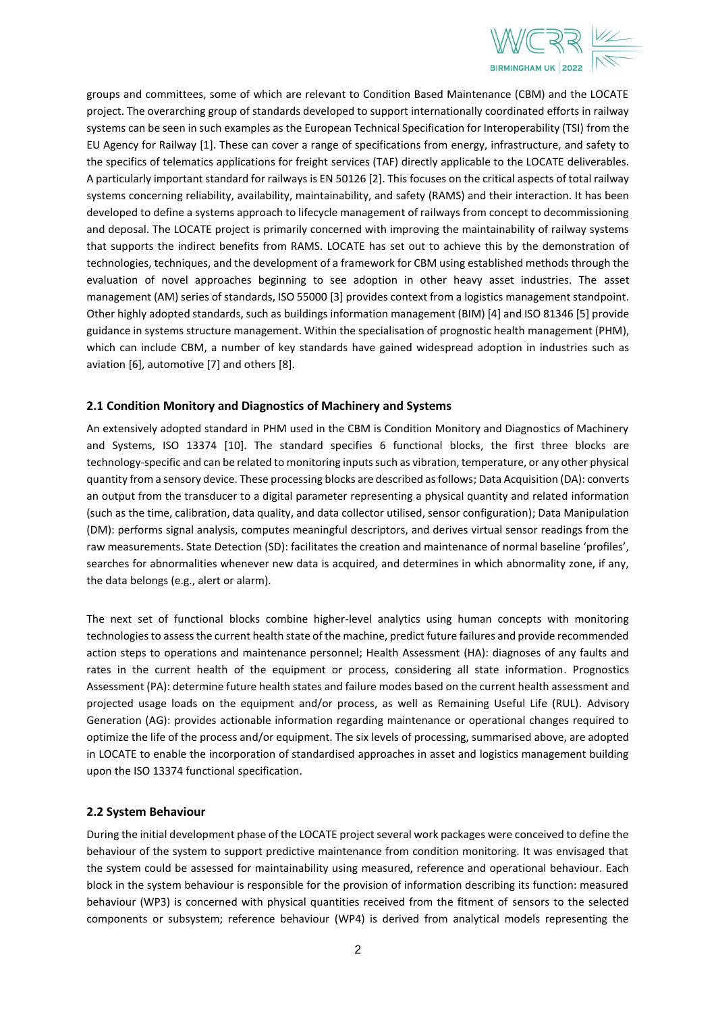

groups and committees, some of which are relevant to Condition Based Maintenance (CBM) and the LOCATE project. The overarching group of standards developed to support internationally coordinated efforts in railway systems can be seen in such examples as the European Technical Specification for Interoperability (TSI) from the EU Agency for Railway [\[1\].](#page-5-0) These can cover a range of specifications from energy, infrastructure, and safety to the specifics of telematics applications for freight services (TAF) directly applicable to the LOCATE deliverables. A particularly important standard for railways is EN 5012[6 \[2\].](#page-5-1) This focuses on the critical aspects of total railway systems concerning reliability, availability, maintainability, and safety (RAMS) and their interaction. It has been developed to define a systems approach to lifecycle management of railways from concept to decommissioning and deposal. The LOCATE project is primarily concerned with improving the maintainability of railway systems that supports the indirect benefits from RAMS. LOCATE has set out to achieve this by the demonstration of technologies, techniques, and the development of a framework for CBM using established methods through the evaluation of novel approaches beginning to see adoption in other heavy asset industries. The asset management (AM) series of standards, ISO 5500[0 \[3\]](#page-5-2) provides context from a logistics management standpoint. Other highly adopted standards, such as buildings information management (BIM[\) \[4\]](#page-5-3) and ISO 8134[6 \[5\]](#page-5-4) provide guidance in systems structure management. Within the specialisation of prognostic health management (PHM), which can include CBM, a number of key standards have gained widespread adoption in industries such as aviation [\[6\],](#page-5-5) automotive [\[7\]](#page-5-6) and other[s \[8\].](#page-5-7)

# **2.1 Condition Monitory and Diagnostics of Machinery and Systems**

An extensively adopted standard in PHM used in the CBM is Condition Monitory and Diagnostics of Machinery and Systems, ISO 13374 [\[10\].](#page-5-8) The standard specifies 6 functional blocks, the first three blocks are technology-specific and can be related to monitoring inputs such as vibration, temperature, or any other physical quantity from a sensory device. These processing blocks are described as follows; Data Acquisition (DA): converts an output from the transducer to a digital parameter representing a physical quantity and related information (such as the time, calibration, data quality, and data collector utilised, sensor configuration); Data Manipulation (DM): performs signal analysis, computes meaningful descriptors, and derives virtual sensor readings from the raw measurements. State Detection (SD): facilitates the creation and maintenance of normal baseline 'profiles', searches for abnormalities whenever new data is acquired, and determines in which abnormality zone, if any, the data belongs (e.g., alert or alarm).

The next set of functional blocks combine higher-level analytics using human concepts with monitoring technologies to assess the current health state of the machine, predict future failures and provide recommended action steps to operations and maintenance personnel; Health Assessment (HA): diagnoses of any faults and rates in the current health of the equipment or process, considering all state information. Prognostics Assessment (PA): determine future health states and failure modes based on the current health assessment and projected usage loads on the equipment and/or process, as well as Remaining Useful Life (RUL). Advisory Generation (AG): provides actionable information regarding maintenance or operational changes required to optimize the life of the process and/or equipment. The six levels of processing, summarised above, are adopted in LOCATE to enable the incorporation of standardised approaches in asset and logistics management building upon the ISO 13374 functional specification.

# **2.2 System Behaviour**

During the initial development phase of the LOCATE project several work packages were conceived to define the behaviour of the system to support predictive maintenance from condition monitoring. It was envisaged that the system could be assessed for maintainability using measured, reference and operational behaviour. Each block in the system behaviour is responsible for the provision of information describing its function: measured behaviour (WP3) is concerned with physical quantities received from the fitment of sensors to the selected components or subsystem; reference behaviour (WP4) is derived from analytical models representing the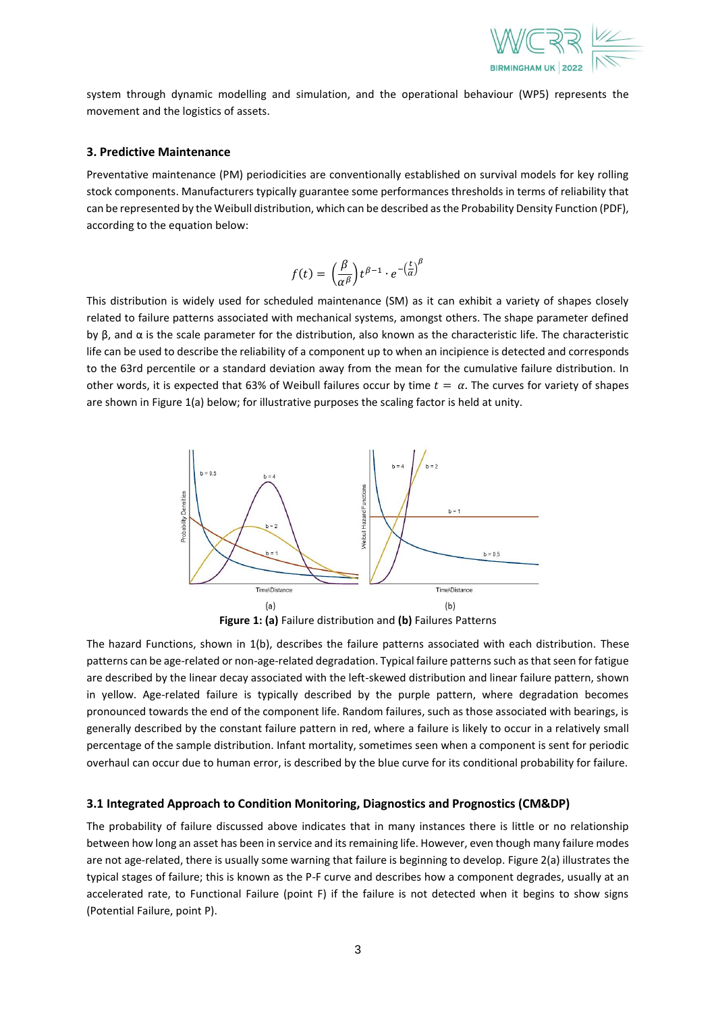

system through dynamic modelling and simulation, and the operational behaviour (WP5) represents the movement and the logistics of assets.

#### **3. Predictive Maintenance**

Preventative maintenance (PM) periodicities are conventionally established on survival models for key rolling stock components. Manufacturers typically guarantee some performances thresholds in terms of reliability that can be represented by the Weibull distribution, which can be described as the Probability Density Function (PDF), according to the equation below:

$$
f(t) = \left(\frac{\beta}{\alpha^{\beta}}\right) t^{\beta - 1} \cdot e^{-\left(\frac{t}{\alpha}\right)^{\beta}}
$$

This distribution is widely used for scheduled maintenance (SM) as it can exhibit a variety of shapes closely related to failure patterns associated with mechanical systems, amongst others. The shape parameter defined by  $\beta$ , and  $\alpha$  is the scale parameter for the distribution, also known as the characteristic life. The characteristic life can be used to describe the reliability of a component up to when an incipience is detected and corresponds to the 63rd percentile or a standard deviation away from the mean for the cumulative failure distribution. In other words, it is expected that 63% of Weibull failures occur by time  $t = \alpha$ . The curves for variety of shapes are shown i[n Figure 1\(](#page-2-0)a) below; for illustrative purposes the scaling factor is held at unity.





<span id="page-2-0"></span>The hazard Functions, shown in 1(b), describes the failure patterns associated with each distribution. These patterns can be age-related or non-age-related degradation. Typical failure patterns such as that seen for fatigue are described by the linear decay associated with the left-skewed distribution and linear failure pattern, shown in yellow. Age-related failure is typically described by the purple pattern, where degradation becomes pronounced towards the end of the component life. Random failures, such as those associated with bearings, is generally described by the constant failure pattern in red, where a failure is likely to occur in a relatively small percentage of the sample distribution. Infant mortality, sometimes seen when a component is sent for periodic overhaul can occur due to human error, is described by the blue curve for its conditional probability for failure.

#### **3.1 Integrated Approach to Condition Monitoring, Diagnostics and Prognostics (CM&DP)**

The probability of failure discussed above indicates that in many instances there is little or no relationship between how long an asset has been in service and its remaining life. However, even though many failure modes are not age-related, there is usually some warning that failure is beginning to develop[. Figure 2\(](#page-3-0)a) illustrates the typical stages of failure; this is known as the P-F curve and describes how a component degrades, usually at an accelerated rate, to Functional Failure (point F) if the failure is not detected when it begins to show signs (Potential Failure, point P).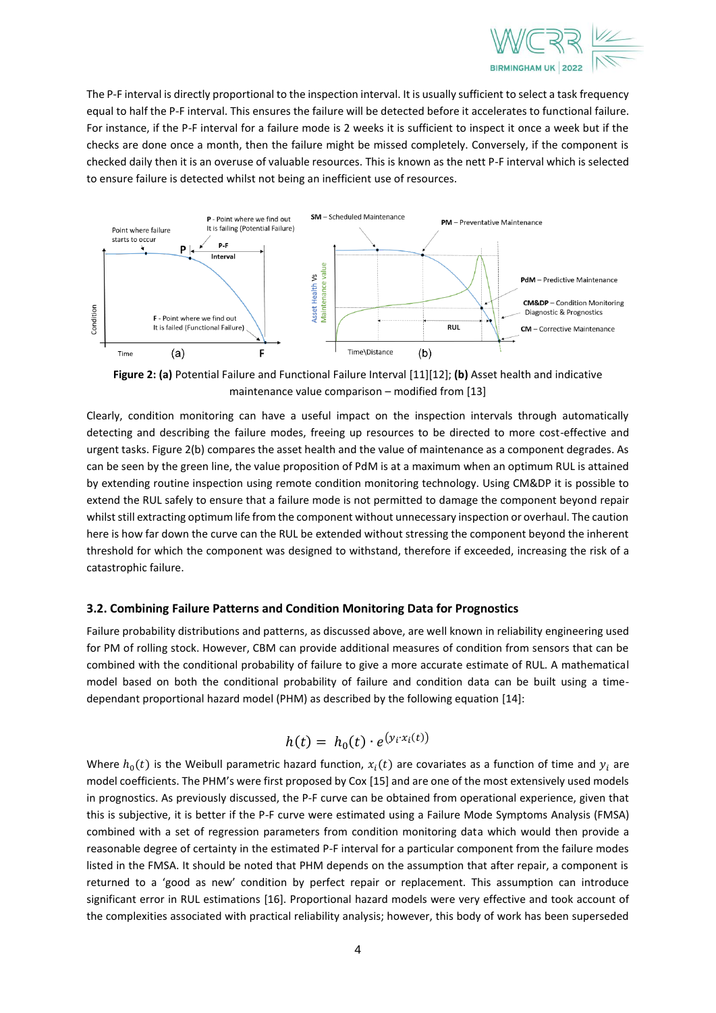

The P-F interval is directly proportional to the inspection interval. It is usually sufficient to select a task frequency equal to half the P-F interval. This ensures the failure will be detected before it accelerates to functional failure. For instance, if the P-F interval for a failure mode is 2 weeks it is sufficient to inspect it once a week but if the checks are done once a month, then the failure might be missed completely. Conversely, if the component is checked daily then it is an overuse of valuable resources. This is known as the nett P-F interval which is selected to ensure failure is detected whilst not being an inefficient use of resources.



<span id="page-3-0"></span>**Figure 2: (a)** Potential Failure and Functional Failure Interva[l \[11\]](#page-5-9)[\[12\];](#page-5-10) **(b)** Asset health and indicative maintenance value comparison – modified from [\[13\]](#page-5-11)

Clearly, condition monitoring can have a useful impact on the inspection intervals through automatically detecting and describing the failure modes, freeing up resources to be directed to more cost-effective and urgent tasks[. Figure 2\(](#page-3-0)b) compares the asset health and the value of maintenance as a component degrades. As can be seen by the green line, the value proposition of PdM is at a maximum when an optimum RUL is attained by extending routine inspection using remote condition monitoring technology. Using CM&DP it is possible to extend the RUL safely to ensure that a failure mode is not permitted to damage the component beyond repair whilst still extracting optimum life from the component without unnecessary inspection or overhaul. The caution here is how far down the curve can the RUL be extended without stressing the component beyond the inherent threshold for which the component was designed to withstand, therefore if exceeded, increasing the risk of a catastrophic failure.

### **3.2. Combining Failure Patterns and Condition Monitoring Data for Prognostics**

Failure probability distributions and patterns, as discussed above, are well known in reliability engineering used for PM of rolling stock. However, CBM can provide additional measures of condition from sensors that can be combined with the conditional probability of failure to give a more accurate estimate of RUL. A mathematical model based on both the conditional probability of failure and condition data can be built using a timedependant proportional hazard model (PHM) as described by the following equation [\[14\]:](#page-5-12)

$$
h(t) = h_0(t) \cdot e^{(y_i \cdot x_i(t))}
$$

Where  $h_0(t)$  is the Weibull parametric hazard function,  $x_i(t)$  are covariates as a function of time and  $y_i$  are model coefficients. The PHM's were first proposed by Cox [\[15\]](#page-5-13) and are one of the most extensively used models in prognostics. As previously discussed, the P-F curve can be obtained from operational experience, given that this is subjective, it is better if the P-F curve were estimated using a Failure Mode Symptoms Analysis (FMSA) combined with a set of regression parameters from condition monitoring data which would then provide a reasonable degree of certainty in the estimated P-F interval for a particular component from the failure modes listed in the FMSA. It should be noted that PHM depends on the assumption that after repair, a component is returned to a 'good as new' condition by perfect repair or replacement. This assumption can introduce significant error in RUL estimations [\[16\].](#page-5-14) Proportional hazard models were very effective and took account of the complexities associated with practical reliability analysis; however, this body of work has been superseded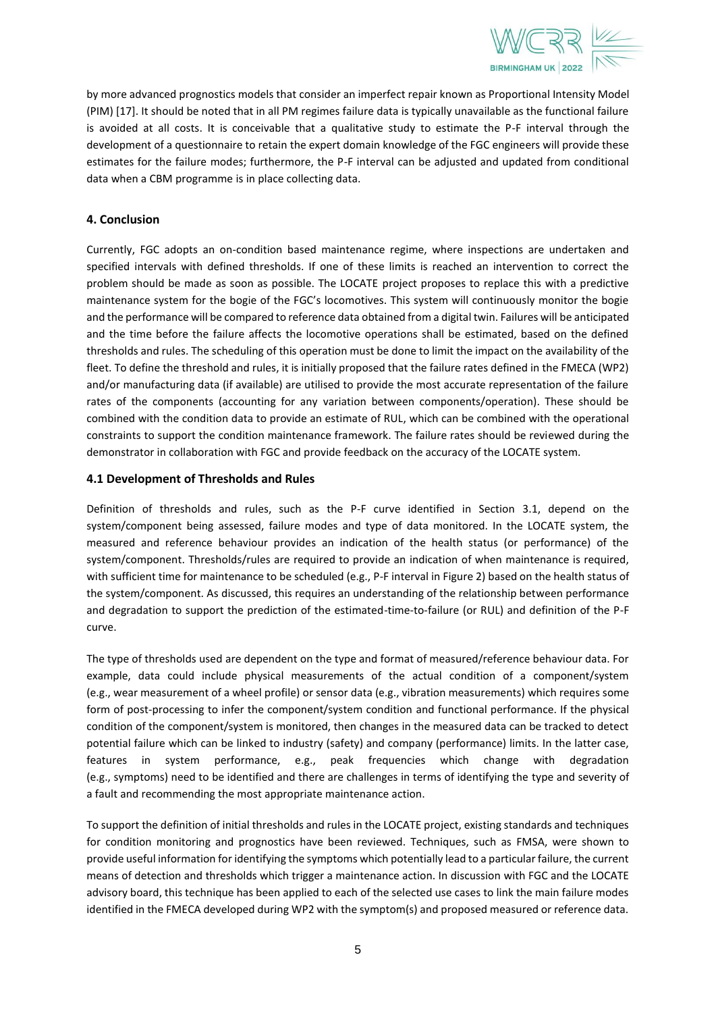

by more advanced prognostics models that consider an imperfect repair known as Proportional Intensity Model (PIM[\) \[17\].](#page-5-15) It should be noted that in all PM regimes failure data is typically unavailable as the functional failure is avoided at all costs. It is conceivable that a qualitative study to estimate the P-F interval through the development of a questionnaire to retain the expert domain knowledge of the FGC engineers will provide these estimates for the failure modes; furthermore, the P-F interval can be adjusted and updated from conditional data when a CBM programme is in place collecting data.

### **4. Conclusion**

Currently, FGC adopts an on-condition based maintenance regime, where inspections are undertaken and specified intervals with defined thresholds. If one of these limits is reached an intervention to correct the problem should be made as soon as possible. The LOCATE project proposes to replace this with a predictive maintenance system for the bogie of the FGC's locomotives. This system will continuously monitor the bogie and the performance will be compared to reference data obtained from a digital twin. Failures will be anticipated and the time before the failure affects the locomotive operations shall be estimated, based on the defined thresholds and rules. The scheduling of this operation must be done to limit the impact on the availability of the fleet. To define the threshold and rules, it is initially proposed that the failure rates defined in the FMECA (WP2) and/or manufacturing data (if available) are utilised to provide the most accurate representation of the failure rates of the components (accounting for any variation between components/operation). These should be combined with the condition data to provide an estimate of RUL, which can be combined with the operational constraints to support the condition maintenance framework. The failure rates should be reviewed during the demonstrator in collaboration with FGC and provide feedback on the accuracy of the LOCATE system.

### **4.1 Development of Thresholds and Rules**

Definition of thresholds and rules, such as the P-F curve identified in Section 3.1, depend on the system/component being assessed, failure modes and type of data monitored. In the LOCATE system, the measured and reference behaviour provides an indication of the health status (or performance) of the system/component. Thresholds/rules are required to provide an indication of when maintenance is required, with sufficient time for maintenance to be scheduled (e.g., P-F interval in Figure 2) based on the health status of the system/component. As discussed, this requires an understanding of the relationship between performance and degradation to support the prediction of the estimated-time-to-failure (or RUL) and definition of the P-F curve.

The type of thresholds used are dependent on the type and format of measured/reference behaviour data. For example, data could include physical measurements of the actual condition of a component/system (e.g., wear measurement of a wheel profile) or sensor data (e.g., vibration measurements) which requires some form of post-processing to infer the component/system condition and functional performance. If the physical condition of the component/system is monitored, then changes in the measured data can be tracked to detect potential failure which can be linked to industry (safety) and company (performance) limits. In the latter case, features in system performance, e.g., peak frequencies which change with degradation (e.g., symptoms) need to be identified and there are challenges in terms of identifying the type and severity of a fault and recommending the most appropriate maintenance action.

To support the definition of initial thresholds and rules in the LOCATE project, existing standards and techniques for condition monitoring and prognostics have been reviewed. Techniques, such as FMSA, were shown to provide useful information for identifying the symptoms which potentially lead to a particular failure, the current means of detection and thresholds which trigger a maintenance action. In discussion with FGC and the LOCATE advisory board, this technique has been applied to each of the selected use cases to link the main failure modes identified in the FMECA developed during WP2 with the symptom(s) and proposed measured or reference data.